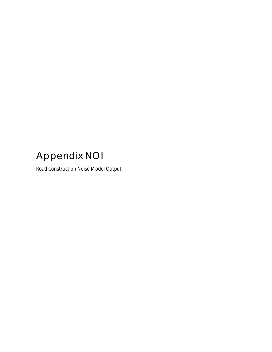## Appendix NOI

Road Construction Noise Model Output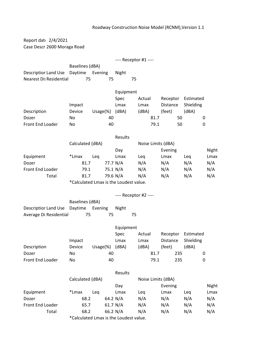## Roadway Construction Noise Model (RCNM),Version 1.1

Report dat 2/4/2021 Case Descri 2600 Moraga Road

---- Receptor #1 ----

Baselines (dBA) Descriptior Land Use Daytime Evening Night Nearest Dis Residential 75 75 75

|                  |               |              | Equipment |        |          |           |  |
|------------------|---------------|--------------|-----------|--------|----------|-----------|--|
|                  |               |              | Spec      | Actual | Receptor | Estimated |  |
|                  | Impact        |              | Lmax      | Lmax   | Distance | Shielding |  |
| Description      | <b>Device</b> | Usage $(\%)$ | (dBA)     | (dBA)  | (feet)   | (dBA)     |  |
| Dozer            | No.           | 40           |           | 81.7   | 50       | 0         |  |
| Front End Loader | No.           | 40           |           | 79.1   | 50       | 0         |  |

|                  |                                       |     |          | <b>Results</b> |     |                    |     |       |
|------------------|---------------------------------------|-----|----------|----------------|-----|--------------------|-----|-------|
|                  | Calculated (dBA)                      |     |          |                |     | Noise Limits (dBA) |     |       |
|                  |                                       |     |          | Day            |     | Evening            |     | Night |
| Equipment        | *Lmax                                 | Lea |          | Lmax           | Leg | Lmax               | Lea | Lmax  |
| Dozer            | 81.7                                  |     | 77.7 N/A |                | N/A | N/A                | N/A | N/A   |
| Front End Loader | 79.1                                  |     | 75.1 N/A |                | N/A | N/A                | N/A | N/A   |
| Total            | 81.7                                  |     |          | 79.6 N/A       | N/A | N/A                | N/A | N/A   |
|                  | *Calculated Lmay is the Loudest value |     |          |                |     |                    |     |       |

\*Calculated Lmax is the Loudest value.

|                                      |                 |     |       | $---$ Receptor #2 ---- |  |
|--------------------------------------|-----------------|-----|-------|------------------------|--|
|                                      | Baselines (dBA) |     |       |                        |  |
| Descriptior Land Use Daytime Evening |                 |     | Night |                        |  |
| Average Di Residential               | 75              | 75. |       | 75                     |  |

|                  |        |         | Equipment |        |                 |           |
|------------------|--------|---------|-----------|--------|-----------------|-----------|
|                  |        |         | Spec      | Actual | Receptor        | Estimated |
|                  | Impact |         | Lmax      | Lmax   | <b>Distance</b> | Shielding |
| Description      | Device | Usage%) | (dBA)     | (dBA)  | (feet)          | (dBA)     |
| Dozer            | No.    | 40      |           | 81.7   | 235             |           |
| Front End Loader | No.    | 40      |           | 79.1   | 235             |           |

|                         |                                         |     |            | <b>Results</b> |     |                    |     |       |
|-------------------------|-----------------------------------------|-----|------------|----------------|-----|--------------------|-----|-------|
|                         | Calculated (dBA)                        |     |            |                |     | Noise Limits (dBA) |     |       |
|                         |                                         |     |            | Day            |     | Evening            |     | Night |
| Equipment               | *Lmax                                   | Lea |            | Lmax           | Leg | Lmax               | Lea | Lmax  |
| Dozer                   | 68.2                                    |     | 64.2 $N/A$ |                | N/A | N/A                | N/A | N/A   |
| <b>Front End Loader</b> | 65.7                                    |     | 61.7 N/A   |                | N/A | N/A                | N/A | N/A   |
| Total                   | 68.2                                    |     | 66.2 N/A   |                | N/A | N/A                | N/A | N/A   |
|                         | *Oslandstad Lassn to the Lenderstanding |     |            |                |     |                    |     |       |

\*Calculated Lmax is the Loudest value.